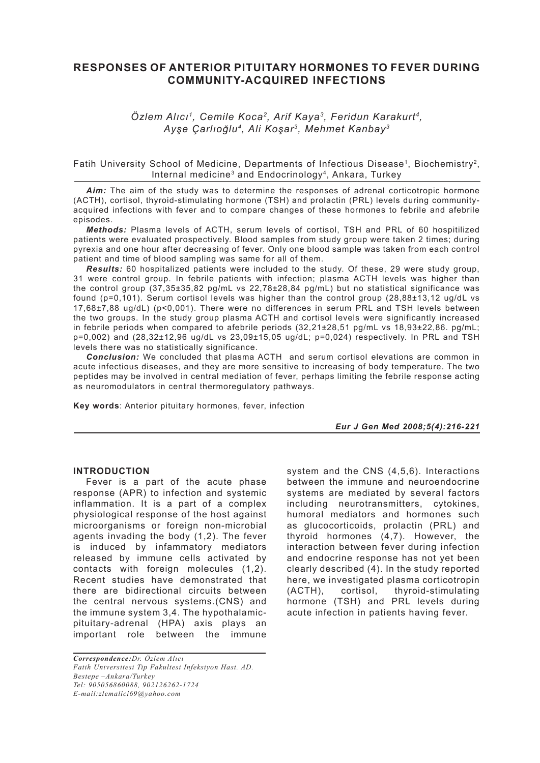# **RESPONSES OF ANTERIOR PITUITARY HORMONES TO FEVER DURING COMMUNITY-ACQUIRED INFECTIONS**

## *Özlem Alıcı1, Cemile Koca2, Arif Kaya3, Feridun Karakurt4, Ayşe Çarlıoğlu4, Ali Koşar3, Mehmet Kanbay3*

### Fatih University School of Medicine, Departments of Infectious Disease<sup>1</sup>, Biochemistry<sup>2</sup>, Internal medicine3 and Endocrinology4, Ankara, Turkey

*Aim:* The aim of the study was to determine the responses of adrenal corticotropic hormone (ACTH), cortisol, thyroid-stimulating hormone (TSH) and prolactin (PRL) levels during communityacquired infections with fever and to compare changes of these hormones to febrile and afebrile episodes.

*Methods:* Plasma levels of ACTH, serum levels of cortisol, TSH and PRL of 60 hospitilized patients were evaluated prospectively. Blood samples from study group were taken 2 times; during pyrexia and one hour after decreasing of fever. Only one blood sample was taken from each control patient and time of blood sampling was same for all of them.

*Results:* 60 hospitalized patients were included to the study. Of these, 29 were study group, 31 were control group. In febrile patients with infection; plasma ACTH levels was higher than the control group (37,35±35,82 pg/mL vs 22,78±28,84 pg/mL) but no statistical significance was found ( $p=0,101$ ). Serum cortisol levels was higher than the control group ( $28.88\pm13.12$  ug/dL vs 17,68±7,88 ug/dL) (p<0,001). There were no differences in serum PRL and TSH levels between the two groups. In the study group plasma ACTH and cortisol levels were significantly increased in febrile periods when compared to afebrile periods (32,21±28,51 pg/mL vs 18,93±22,86. pg/mL; p=0,002) and (28,32±12,96 ug/dL vs 23,09±15,05 ug/dL; p=0,024) respectively. In PRL and TSH levels there was no statistically significance.

*Conclusion:* We concluded that plasma ACTH and serum cortisol elevations are common in acute infectious diseases, and they are more sensitive to increasing of body temperature. The two peptides may be involved in central mediation of fever, perhaps limiting the febrile response acting as neuromodulators in central thermoregulatory pathways.

**Key words**: Anterior pituitary hormones, fever, infection

*Eur J Gen Med 2008;5(4):216-221*

### **INTRODUCTION**

Fever is a part of the acute phase response (APR) to infection and systemic inflammation. It is a part of a complex physiological response of the host against microorganisms or foreign non-microbial agents invading the body (1,2). The fever is induced by infammatory mediators released by immune cells activated by contacts with foreign molecules (1,2). Recent studies have demonstrated that there are bidirectional circuits between the central nervous systems.(CNS) and the immune system 3,4. The hypothalamicpituitary-adrenal (HPA) axis plays an important role between the immune

*Correspondence:Dr. Özlem Alıcı Fatih Universitesi Tip Fakultesi Infeksiyon Hast. AD. Bestepe –Ankara/Turkey Tel: 905056860088, 902126262-1724 E-mail:zlemalici69@yahoo.com*

system and the CNS (4,5,6). Interactions between the immune and neuroendocrine systems are mediated by several factors including neurotransmitters, cytokines, humoral mediators and hormones such as glucocorticoids, prolactin (PRL) and thyroid hormones (4,7). However, the interaction between fever during infection and endocrine response has not yet been clearly described (4). In the study reported here, we investigated plasma corticotropin (ACTH), cortisol, thyroid-stimulating hormone (TSH) and PRL levels during acute infection in patients having fever.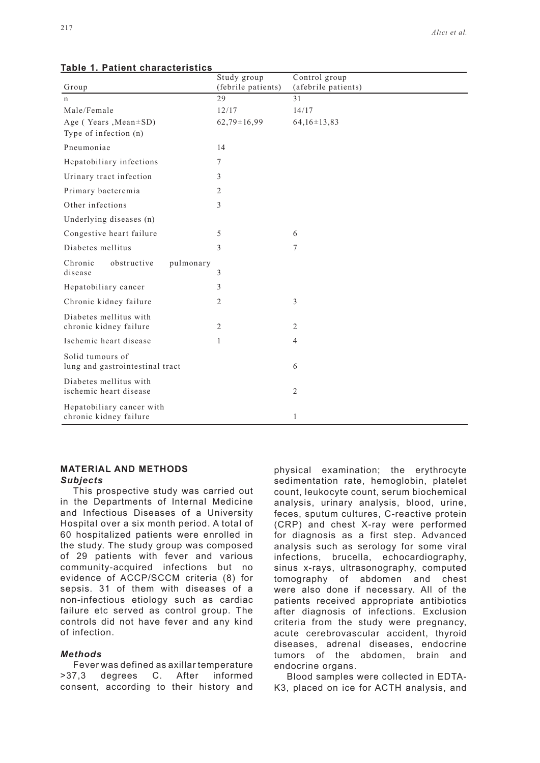| <u> rapic 1. 1 ationit characteristics</u>          | Study group        | Control group       |  |
|-----------------------------------------------------|--------------------|---------------------|--|
| Group                                               | (febrile patients) | (afebrile patients) |  |
| $\mathbf n$                                         | 29                 | 31                  |  |
| Male/Female                                         | 12/17              | 14/17               |  |
| Age (Years, Mean ± SD)                              | $62,79 \pm 16,99$  | $64,16 \pm 13,83$   |  |
| Type of infection (n)                               |                    |                     |  |
| Pneumoniae                                          | 14                 |                     |  |
| Hepatobiliary infections                            | $\tau$             |                     |  |
| Urinary tract infection                             | 3                  |                     |  |
| Primary bacteremia                                  | 2                  |                     |  |
| Other infections                                    | 3                  |                     |  |
| Underlying diseases (n)                             |                    |                     |  |
| Congestive heart failure                            | 5                  | 6                   |  |
| Diabetes mellitus                                   | 3                  | 7                   |  |
| Chronic<br>obstructive<br>pulmonary<br>disease      | 3                  |                     |  |
| Hepatobiliary cancer                                | 3                  |                     |  |
| Chronic kidney failure                              | 2                  | 3                   |  |
| Diabetes mellitus with                              |                    |                     |  |
| chronic kidney failure                              | 2                  | 2                   |  |
| Ischemic heart disease                              | 1                  | $\overline{4}$      |  |
| Solid tumours of<br>lung and gastrointestinal tract |                    | 6                   |  |
| Diabetes mellitus with<br>ischemic heart disease    |                    | $\overline{2}$      |  |
| Hepatobiliary cancer with<br>chronic kidney failure |                    | 1                   |  |

#### **Table 1. Patient characteristics**

## **MATERIAL AND METHODS**

## *Subjects*

This prospective study was carried out in the Departments of Internal Medicine and Infectious Diseases of a University Hospital over a six month period. A total of 60 hospitalized patients were enrolled in the study. The study group was composed of 29 patients with fever and various community-acquired infections but no evidence of ACCP/SCCM criteria (8) for sepsis. 31 of them with diseases of a non-infectious etiology such as cardiac failure etc served as control group. The controls did not have fever and any kind of infection.

### *Methods*

Fever was defined as axillar temperature >37,3 degrees C. After informed consent, according to their history and

physical examination; the erythrocyte sedimentation rate, hemoglobin, platelet count, leukocyte count, serum biochemical analysis, urinary analysis, blood, urine, feces, sputum cultures, C-reactive protein (CRP) and chest X-ray were performed for diagnosis as a first step. Advanced analysis such as serology for some viral infections, brucella, echocardiography, sinus x-rays, ultrasonography, computed tomography of abdomen and chest were also done if necessary. All of the patients received appropriate antibiotics after diagnosis of infections. Exclusion criteria from the study were pregnancy, acute cerebrovascular accident, thyroid diseases, adrenal diseases, endocrine tumors of the abdomen, brain and endocrine organs.

Blood samples were collected in EDTA-K3, placed on ice for ACTH analysis, and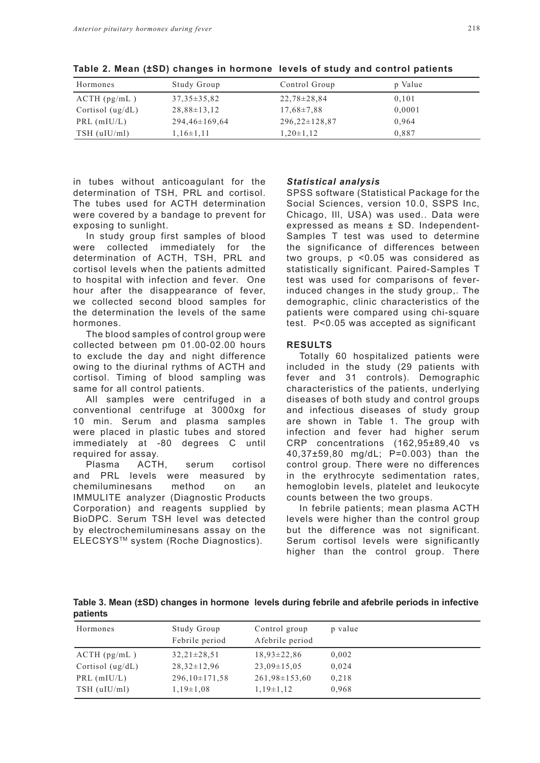| Hormones           | Study Group       | Control Group       | p Value |
|--------------------|-------------------|---------------------|---------|
| $ACTH$ (pg/mL)     | $37.35 \pm 35.82$ | $22.78 \pm 28.84$   | 0,101   |
| Cortisol $(ug/dL)$ | $28.88 \pm 13.12$ | $17.68 \pm 7.88$    | 0,0001  |
| PRL $(mIU/L)$      | $294,46\pm169,64$ | $296,22 \pm 128,87$ | 0.964   |
| $TSH$ (uIU/ml)     | $1,16\pm1,11$     | $1,20\pm1,12$       | 0.887   |

**Table 2. Mean (±SD) changes in hormone levels of study and control patients**

in tubes without anticoagulant for the determination of TSH, PRL and cortisol. The tubes used for ACTH determination were covered by a bandage to prevent for exposing to sunlight.

In study group first samples of blood were collected immediately for the determination of ACTH, TSH, PRL and cortisol levels when the patients admitted to hospital with infection and fever. One hour after the disappearance of fever, we collected second blood samples for the determination the levels of the same hormones.

The blood samples of control group were collected between pm 01.00-02.00 hours to exclude the day and night difference owing to the diurinal rythms of ACTH and cortisol. Timing of blood sampling was same for all control patients.

All samples were centrifuged in a conventional centrifuge at 3000xg for 10 min. Serum and plasma samples were placed in plastic tubes and stored immediately at -80 degrees C until required for assay.

Plasma ACTH, serum cortisol and PRL levels were measured by chemiluminesans method on an IMMULITE analyzer (Diagnostic Products Corporation) and reagents supplied by BioDPC. Serum TSH level was detected by electrochemiluminesans assay on the ELECSYSTM system (Roche Diagnostics).

#### *Statistical analysis*

SPSS software (Statistical Package for the Social Sciences, version 10.0, SSPS Inc, Chicago, Ill, USA) was used.. Data were expressed as means ± SD. Independent-Samples T test was used to determine the significance of differences between two groups, p <0.05 was considered as statistically significant. Paired-Samples T test was used for comparisons of feverinduced changes in the study group,. The demographic, clinic characteristics of the patients were compared using chi-square test. P<0.05 was accepted as significant

#### **RESULTS**

Totally 60 hospitalized patients were included in the study (29 patients with fever and 31 controls). Demographic characteristics of the patients, underlying diseases of both study and control groups and infectious diseases of study group are shown in Table 1. The group with infection and fever had higher serum CRP concentrations (162,95±89,40 vs 40,37±59,80 mg/dL; P=0.003) than the control group. There were no differences in the erythrocyte sedimentation rates, hemoglobin levels, platelet and leukocyte counts between the two groups.

In febrile patients; mean plasma ACTH levels were higher than the control group but the difference was not significant. Serum cortisol levels were significantly higher than the control group. There

**Table 3. Mean (±SD) changes in hormone levels during febrile and afebrile periods in infective patients**

| Hormones           | Study Group<br>Febrile period | Control group<br>Afebrile period | p value |
|--------------------|-------------------------------|----------------------------------|---------|
| $ACTH$ (pg/mL)     | $32,21\pm 28,51$              | $18.93 \pm 22.86$                | 0,002   |
| Cortisol $(ug/dL)$ | $28.32 \pm 12.96$             | $23.09 \pm 15.05$                | 0.024   |
| $PRL$ (mIU/L)      | $296,10\pm171,58$             | $261,98\pm 153,60$               | 0.218   |
| $TSH$ (uIU/ml)     | $1,19\pm1,08$                 | $1,19\pm1,12$                    | 0.968   |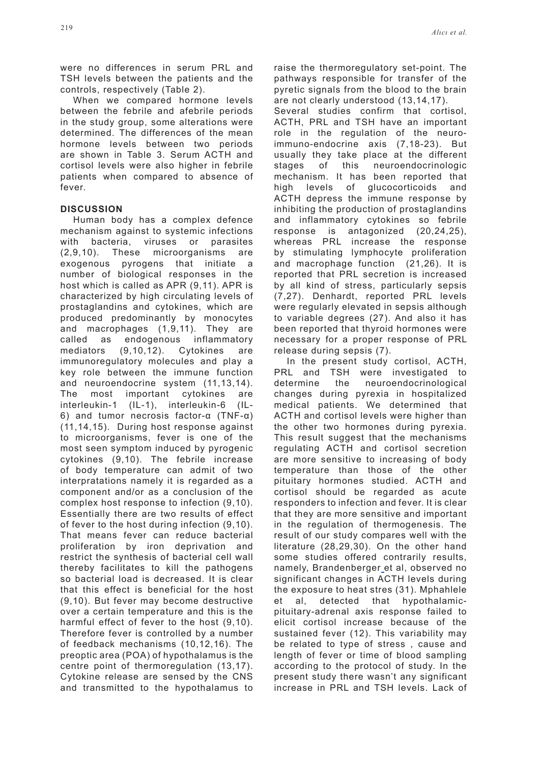were no differences in serum PRL and TSH levels between the patients and the controls, respectively (Table 2).

When we compared hormone levels between the febrile and afebrile periods in the study group, some alterations were determined. The differences of the mean hormone levels between two periods are shown in Table 3. Serum ACTH and cortisol levels were also higher in febrile patients when compared to absence of fever.

## **DISCUSSION**

Human body has a complex defence mechanism against to systemic infections with bacteria, viruses or parasites (2,9,10). These microorganisms are exogenous pyrogens that initiate a number of biological responses in the host which is called as APR (9,11). APR is characterized by high circulating levels of prostaglandins and cytokines, which are produced predominantly by monocytes and macrophages (1,9,11). They are called as endogenous inflammatory mediators (9,10,12). Cytokines are immunoregulatory molecules and play a key role between the immune function and neuroendocrine system (11,13,14). The most important cytokines are interleukin-1 (IL-1), interleukin-6 (IL-6) and tumor necrosis factor-α (TNF-α) (11,14,15). During host response against to microorganisms, fever is one of the most seen symptom induced by pyrogenic cytokines (9,10). The febrile increase of body temperature can admit of two interpratations namely it is regarded as a component and/or as a conclusion of the complex host response to infection (9,10). Essentially there are two results of effect of fever to the host during infection (9,10). That means fever can reduce bacterial proliferation by iron deprivation and restrict the synthesis of bacterial cell wall thereby facilitates to kill the pathogens so bacterial load is decreased. It is clear that this effect is beneficial for the host (9,10). But fever may become destructive over a certain temperature and this is the harmful effect of fever to the host (9,10). Therefore fever is controlled by a number of feedback mechanisms (10,12,16). The preoptic area (POA) of hypothalamus is the centre point of thermoregulation (13,17). Cytokine release are sensed by the CNS and transmitted to the hypothalamus to raise the thermoregulatory set-point. The pathways responsible for transfer of the pyretic signals from the blood to the brain are not clearly understood (13,14,17).

Several studies confirm that cortisol, ACTH, PRL and TSH have an important role in the regulation of the neuroimmuno-endocrine axis (7,18-23). But usually they take place at the different stages of this neuroendocrinologic mechanism. It has been reported that high levels of glucocorticoids and ACTH depress the immune response by inhibiting the production of prostaglandins and inflammatory cytokines so febrile response is antagonized (20,24,25), whereas PRL increase the response by stimulating lymphocyte proliferation and macrophage function (21,26). It is reported that PRL secretion is increased by all kind of stress, particularly sepsis (7,27). Denhardt, reported PRL levels were regularly elevated in sepsis although to variable degrees (27). And also it has been reported that thyroid hormones were necessary for a proper response of PRL release during sepsis (7).

In the present study cortisol, ACTH, PRL and TSH were investigated to determine the neuroendocrinological changes during pyrexia in hospitalized medical patients. We determined that ACTH and cortisol levels were higher than the other two hormones during pyrexia. This result suggest that the mechanisms regulating ACTH and cortisol secretion are more sensitive to increasing of body temperature than those of the other pituitary hormones studied. ACTH and cortisol should be regarded as acute responders to infection and fever. It is clear that they are more sensitive and important in the regulation of thermogenesis. The result of our study compares well with the literature (28,29,30). On the other hand some studies offered contrarily results, namely, Brandenberger et al, observed no significant changes in ACTH levels during the exposure to heat stres (31). Mphahlele et al, detected that hypothalamicpituitary-adrenal axis response failed to elicit cortisol increase because of the sustained fever (12). This variability may be related to type of stress , cause and length of fever or time of blood sampling according to the protocol of study. In the present study there wasn't any significant increase in PRL and TSH levels. Lack of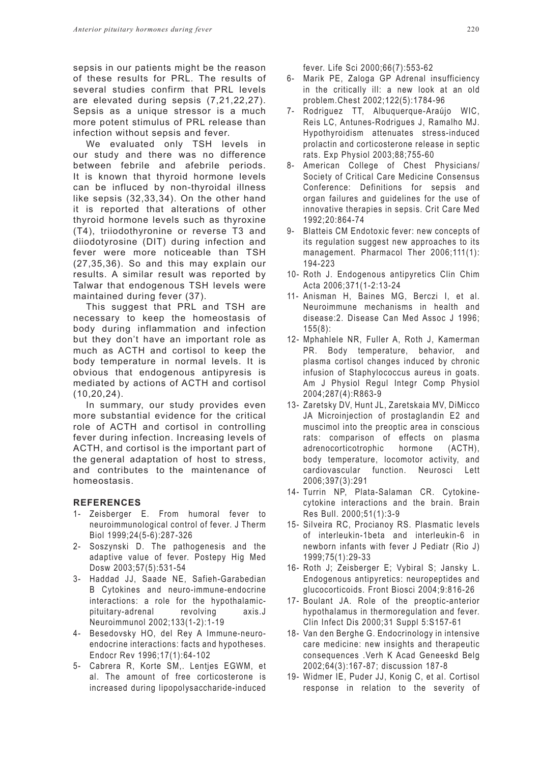sepsis in our patients might be the reason of these results for PRL. The results of several studies confirm that PRL levels are elevated during sepsis (7,21,22,27). Sepsis as a unique stressor is a much more potent stimulus of PRL release than infection without sepsis and fever.

We evaluated only TSH levels in our study and there was no difference between febrile and afebrile periods. It is known that thyroid hormone levels can be influced by non-thyroidal illness like sepsis (32,33,34). On the other hand it is reported that alterations of other thyroid hormone levels such as thyroxine (T4), triiodothyronine or reverse T3 and diiodotyrosine (DIT) during infection and fever were more noticeable than TSH (27,35,36). So and this may explain our results. A similar result was reported by Talwar that endogenous TSH levels were maintained during fever (37).

This suggest that PRL and TSH are necessary to keep the homeostasis of body during inflammation and infection but they don't have an important role as much as ACTH and cortisol to keep the body temperature in normal levels. It is obvious that endogenous antipyresis is mediated by actions of ACTH and cortisol (10,20,24).

In summary, our study provides even more substantial evidence for the critical role of ACTH and cortisol in controlling fever during infection. Increasing levels of ACTH, and cortisol is the important part of the general adaptation of host to stress, and contributes to the maintenance of homeostasis.

## **REFERENCES**

- 1- Zeisberger E. From humoral fever to neuroimmunological control of fever. J Therm Biol 1999;24(5-6):287-326
- 2- Soszynski D. The pathogenesis and the adaptive value of fever. Postepy Hig Med Dosw 2003;57(5):531-54
- 3- Haddad JJ, Saade NE, Safieh-Garabedian B Cytokines and neuro-immune-endocrine interactions: a role for the hypothalamicpituitary-adrenal revolving axis.J Neuroimmunol 2002;133(1-2):1-19
- 4- Besedovsky HO, del Rey A Immune-neuroendocrine interactions: facts and hypotheses. Endocr Rev 1996;17(1):64-102
- 5- Cabrera R, Korte SM,. Lentjes EGWM, et al. The amount of free corticosterone is increased during lipopolysaccharide-induced

fever. Life Sci 2000;66(7):553-62

- 6- Marik PE, Zaloga GP Adrenal insufficiency in the critically ill: a new look at an old problem.Chest 2002;122(5):1784-96
- 7- Rodriguez TT, Albuquerque-Araújo WIC, Reis LC, Antunes-Rodrigues J, Ramalho MJ. Hypothyroidism attenuates stress-induced prolactin and corticosterone release in septic rats. Exp Physiol 2003;88;755-60
- 8- American College of Chest Physicians/ Society of Critical Care Medicine Consensus Conference: Definitions for sepsis and organ failures and guidelines for the use of innovative therapies in sepsis. Crit Care Med 1992;20:864-74
- 9- Blatteis CM Endotoxic fever: new concepts of its regulation suggest new approaches to its management. Pharmacol Ther 2006;111(1): 194-223
- 10- Roth J. Endogenous antipyretics Clin Chim Acta 2006;371(1-2:13-24
- 11- Anisman H, Baines MG, Berczi I, et al. Neuroimmune mechanisms in health and disease:2. Disease Can Med Assoc J 1996; 155(8):
- 12- Mphahlele NR, Fuller A, Roth J, Kamerman PR. Body temperature, behavior, and plasma cortisol changes induced by chronic infusion of Staphylococcus aureus in goats. Am J Physiol Regul Integr Comp Physiol 2004;287(4):R863-9
- 13- Zaretsky DV, Hunt JL, Zaretskaia MV, DiMicco JA Microinjection of prostaglandin E2 and muscimol into the preoptic area in conscious rats: comparison of effects on plasma adrenocorticotrophic hormone (ACTH), body temperature, locomotor activity, and cardiovascular function. Neurosci Lett 2006;397(3):291
- 14- Turrin NP, Plata-Salaman CR. Cytokinecytokine interactions and the brain. Brain Res Bull. 2000;51(1):3-9
- 15- Silveira RC, Procianoy RS. Plasmatic levels of interleukin-1beta and interleukin-6 in newborn infants with fever J Pediatr (Rio J) 1999;75(1):29-33
- 16- Roth J; Zeisberger E; Vybiral S; Jansky L. Endogenous antipyretics: neuropeptides and glucocorticoids. Front Biosci 2004;9:816-26
- 17- Boulant JA. Role of the preoptic-anterior hypothalamus in thermoregulation and fever. Clin Infect Dis 2000;31 Suppl 5:S157-61
- 18- Van den Berghe G. Endocrinology in intensive care medicine: new insights and therapeutic consequences .Verh K Acad Geneeskd Belg 2002;64(3):167-87; discussion 187-8
- 19- Widmer IE, Puder JJ, Konig C, et al. Cortisol response in relation to the severity of